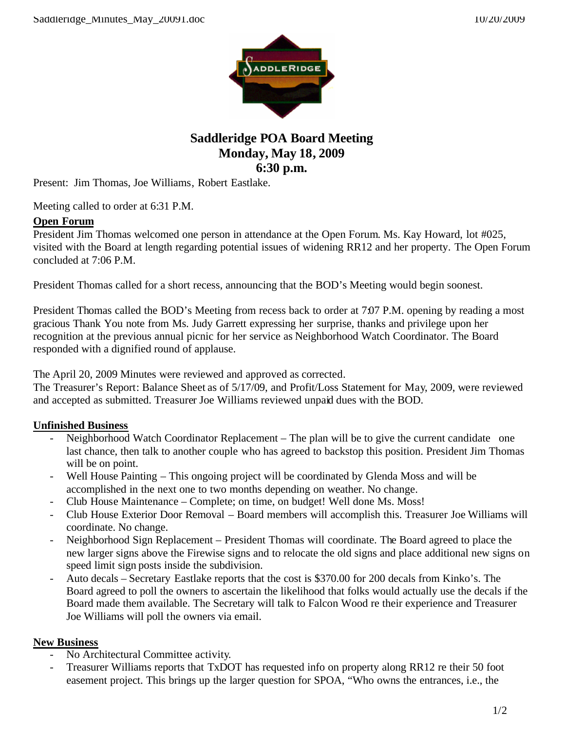

## **Saddleridge POA Board Meeting Monday, May 18, 2009 6:30 p.m.**

Present: Jim Thomas, Joe Williams, Robert Eastlake.

Meeting called to order at 6:31 P.M.

## **Open Forum**

President Jim Thomas welcomed one person in attendance at the Open Forum. Ms. Kay Howard, lot #025, visited with the Board at length regarding potential issues of widening RR12 and her property. The Open Forum concluded at 7:06 P.M.

President Thomas called for a short recess, announcing that the BOD's Meeting would begin soonest.

President Thomas called the BOD's Meeting from recess back to order at 7:07 P.M. opening by reading a most gracious Thank You note from Ms. Judy Garrett expressing her surprise, thanks and privilege upon her recognition at the previous annual picnic for her service as Neighborhood Watch Coordinator. The Board responded with a dignified round of applause.

The April 20, 2009 Minutes were reviewed and approved as corrected.

The Treasurer's Report: Balance Sheet as of 5/17/09, and Profit/Loss Statement for May, 2009, were reviewed and accepted as submitted. Treasurer Joe Williams reviewed unpaid dues with the BOD.

## **Unfinished Business**

- Neighborhood Watch Coordinator Replacement The plan will be to give the current candidate one last chance, then talk to another couple who has agreed to backstop this position. President Jim Thomas will be on point.
- Well House Painting This ongoing project will be coordinated by Glenda Moss and will be accomplished in the next one to two months depending on weather. No change.
- Club House Maintenance Complete; on time, on budget! Well done Ms. Moss!
- Club House Exterior Door Removal Board members will accomplish this. Treasurer Joe Williams will coordinate. No change.
- Neighborhood Sign Replacement President Thomas will coordinate. The Board agreed to place the new larger signs above the Firewise signs and to relocate the old signs and place additional new signs on speed limit sign posts inside the subdivision.
- Auto decals Secretary Eastlake reports that the cost is \$370.00 for 200 decals from Kinko's. The Board agreed to poll the owners to ascertain the likelihood that folks would actually use the decals if the Board made them available. The Secretary will talk to Falcon Wood re their experience and Treasurer Joe Williams will poll the owners via email.

## **New Business**

- No Architectural Committee activity.
- Treasurer Williams reports that TxDOT has requested info on property along RR12 re their 50 foot easement project. This brings up the larger question for SPOA, "Who owns the entrances, i.e., the